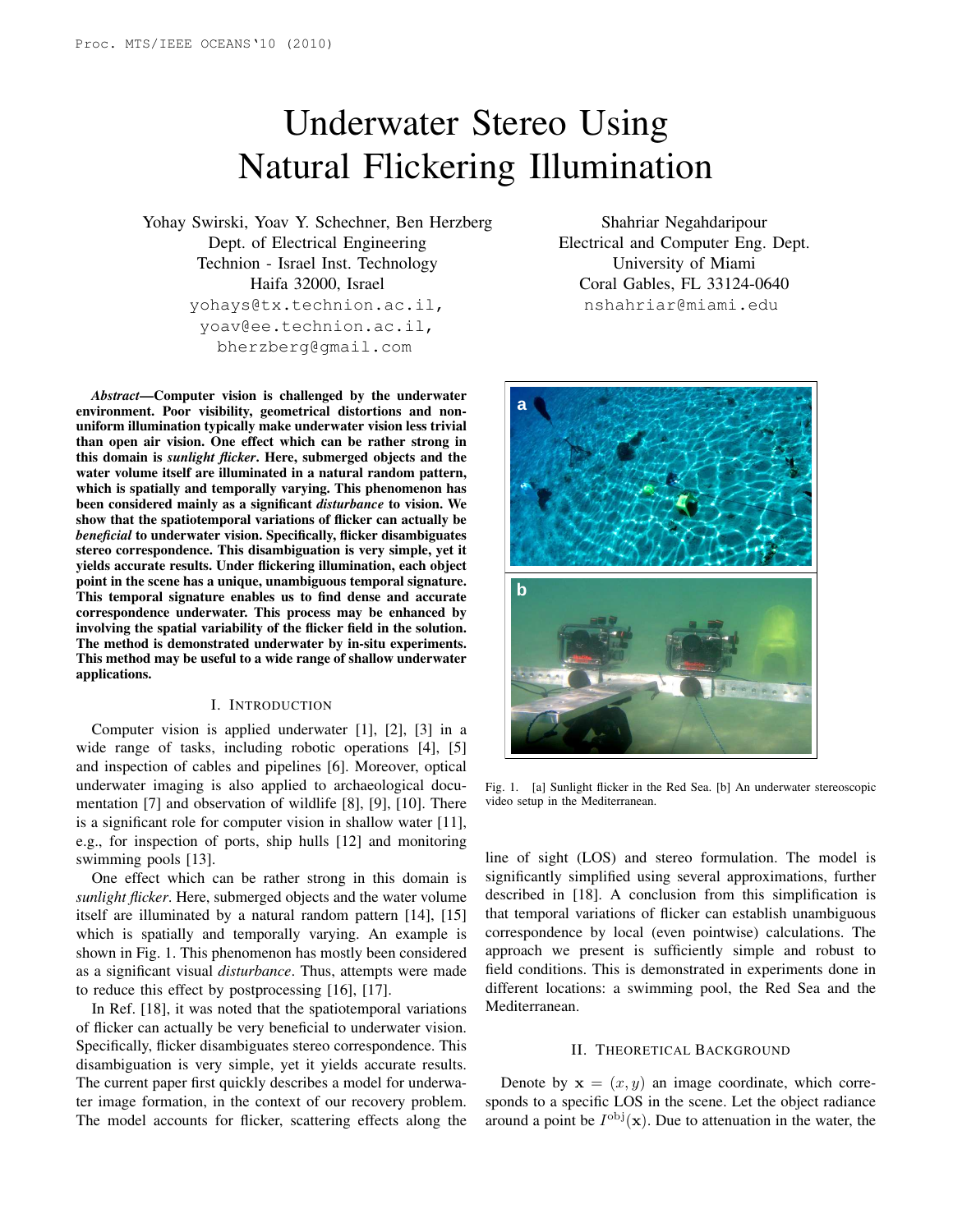# Underwater Stereo Using Natural Flickering Illumination

Yohay Swirski, Yoav Y. Schechner, Ben Herzberg Dept. of Electrical Engineering Technion - Israel Inst. Technology Haifa 32000, Israel yohays@tx.technion.ac.il, yoav@ee.technion.ac.il, bherzberg@gmail.com

*Abstract*—Computer vision is challenged by the underwater environment. Poor visibility, geometrical distortions and nonuniform illumination typically make underwater vision less trivial than open air vision. One effect which can be rather strong in this domain is *sunlight flicker*. Here, submerged objects and the water volume itself are illuminated in a natural random pattern, which is spatially and temporally varying. This phenomenon has been considered mainly as a significant *disturbance* to vision. We show that the spatiotemporal variations of flicker can actually be *beneficial* to underwater vision. Specifically, flicker disambiguates stereo correspondence. This disambiguation is very simple, yet it yields accurate results. Under flickering illumination, each object point in the scene has a unique, unambiguous temporal signature. This temporal signature enables us to find dense and accurate correspondence underwater. This process may be enhanced by involving the spatial variability of the flicker field in the solution. The method is demonstrated underwater by in-situ experiments. This method may be useful to a wide range of shallow underwater applications.

### I. INTRODUCTION

Computer vision is applied underwater [1], [2], [3] in a wide range of tasks, including robotic operations [4], [5] and inspection of cables and pipelines [6]. Moreover, optical underwater imaging is also applied to archaeological documentation [7] and observation of wildlife [8], [9], [10]. There is a significant role for computer vision in shallow water [11], e.g., for inspection of ports, ship hulls [12] and monitoring swimming pools [13].

One effect which can be rather strong in this domain is *sunlight flicker*. Here, submerged objects and the water volume itself are illuminated by a natural random pattern [14], [15] which is spatially and temporally varying. An example is shown in Fig. 1. This phenomenon has mostly been considered as a significant visual *disturbance*. Thus, attempts were made to reduce this effect by postprocessing [16], [17].

In Ref. [18], it was noted that the spatiotemporal variations of flicker can actually be very beneficial to underwater vision. Specifically, flicker disambiguates stereo correspondence. This disambiguation is very simple, yet it yields accurate results. The current paper first quickly describes a model for underwater image formation, in the context of our recovery problem. The model accounts for flicker, scattering effects along the

Shahriar Negahdaripour Electrical and Computer Eng. Dept. University of Miami Coral Gables, FL 33124-0640 nshahriar@miami.edu



Fig. 1. [a] Sunlight flicker in the Red Sea. [b] An underwater stereoscopic video setup in the Mediterranean.

line of sight (LOS) and stereo formulation. The model is significantly simplified using several approximations, further described in [18]. A conclusion from this simplification is that temporal variations of flicker can establish unambiguous correspondence by local (even pointwise) calculations. The approach we present is sufficiently simple and robust to field conditions. This is demonstrated in experiments done in different locations: a swimming pool, the Red Sea and the Mediterranean.

### II. THEORETICAL BACKGROUND

Denote by  $x = (x, y)$  an image coordinate, which corresponds to a specific LOS in the scene. Let the object radiance around a point be  $I^{obj}(\mathbf{x})$ . Due to attenuation in the water, the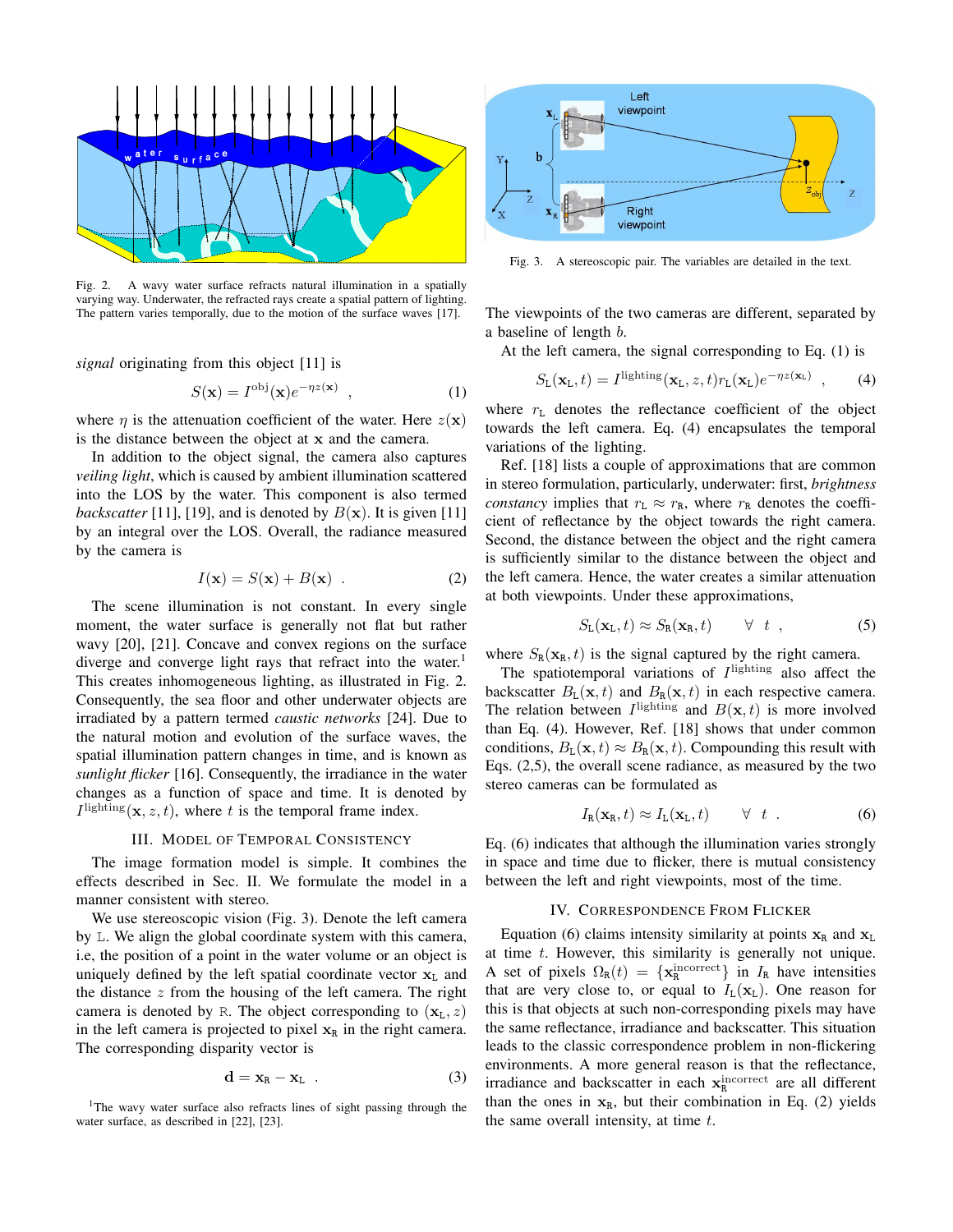

Fig. 2. A wavy water surface refracts natural illumination in a spatially varying way. Underwater, the refracted rays create a spatial pattern of lighting. The pattern varies temporally, due to the motion of the surface waves [17].

*signal* originating from this object [11] is

$$
S(\mathbf{x}) = I^{\text{obj}}(\mathbf{x})e^{-\eta z(\mathbf{x})} , \qquad (1)
$$

where  $\eta$  is the attenuation coefficient of the water. Here  $z(\mathbf{x})$ is the distance between the object at x and the camera.

In addition to the object signal, the camera also captures *veiling light*, which is caused by ambient illumination scattered into the LOS by the water. This component is also termed *backscatter* [11], [19], and is denoted by  $B(x)$ . It is given [11] by an integral over the LOS. Overall, the radiance measured by the camera is

$$
I(\mathbf{x}) = S(\mathbf{x}) + B(\mathbf{x}) \tag{2}
$$

The scene illumination is not constant. In every single moment, the water surface is generally not flat but rather wavy [20], [21]. Concave and convex regions on the surface diverge and converge light rays that refract into the water.<sup>1</sup> This creates inhomogeneous lighting, as illustrated in Fig. 2. Consequently, the sea floor and other underwater objects are irradiated by a pattern termed *caustic networks* [24]. Due to the natural motion and evolution of the surface waves, the spatial illumination pattern changes in time, and is known as *sunlight flicker* [16]. Consequently, the irradiance in the water changes as a function of space and time. It is denoted by  $I^{\text{lighting}}(\mathbf{x}, z, t)$ , where t is the temporal frame index.

### III. MODEL OF TEMPORAL CONSISTENCY

The image formation model is simple. It combines the effects described in Sec. II. We formulate the model in a manner consistent with stereo.

We use stereoscopic vision (Fig. 3). Denote the left camera by L. We align the global coordinate system with this camera, i.e, the position of a point in the water volume or an object is uniquely defined by the left spatial coordinate vector  $x_L$  and the distance  $z$  from the housing of the left camera. The right camera is denoted by R. The object corresponding to  $(\mathbf{x}_L, z)$ in the left camera is projected to pixel  $x<sub>R</sub>$  in the right camera. The corresponding disparity vector is

$$
\mathbf{d} = \mathbf{x}_R - \mathbf{x}_L \tag{3}
$$





Fig. 3. A stereoscopic pair. The variables are detailed in the text.

The viewpoints of the two cameras are different, separated by a baseline of length b.

At the left camera, the signal corresponding to Eq. (1) is

$$
S_{\mathbf{L}}(\mathbf{x}_{\mathbf{L}},t) = I^{\text{lighting}}(\mathbf{x}_{\mathbf{L}},z,t)r_{\mathbf{L}}(\mathbf{x}_{\mathbf{L}})e^{-\eta z(\mathbf{x}_{\mathbf{L}})}, \qquad (4)
$$

where  $r<sub>L</sub>$  denotes the reflectance coefficient of the object towards the left camera. Eq. (4) encapsulates the temporal variations of the lighting.

Ref. [18] lists a couple of approximations that are common in stereo formulation, particularly, underwater: first, *brightness constancy* implies that  $r_L \approx r_R$ , where  $r_R$  denotes the coefficient of reflectance by the object towards the right camera. Second, the distance between the object and the right camera is sufficiently similar to the distance between the object and the left camera. Hence, the water creates a similar attenuation at both viewpoints. Under these approximations,

$$
S_{\mathbf{L}}(\mathbf{x}_{\mathbf{L}},t) \approx S_{\mathbf{R}}(\mathbf{x}_{\mathbf{R}},t) \qquad \forall \quad t \quad , \tag{5}
$$

where  $S_R(\mathbf{x}_R, t)$  is the signal captured by the right camera.

The spatiotemporal variations of  $I<sup>lighting</sup>$  also affect the backscatter  $B_{L}(\mathbf{x}, t)$  and  $B_{R}(\mathbf{x}, t)$  in each respective camera. The relation between  $I^{\text{lighting}}$  and  $B(\mathbf{x}, t)$  is more involved than Eq. (4). However, Ref. [18] shows that under common conditions,  $B_{L}(\mathbf{x}, t) \approx B_{R}(\mathbf{x}, t)$ . Compounding this result with Eqs. (2,5), the overall scene radiance, as measured by the two stereo cameras can be formulated as

$$
I_{\mathbf{R}}(\mathbf{x}_{\mathbf{R}},t) \approx I_{\mathbf{L}}(\mathbf{x}_{\mathbf{L}},t) \qquad \forall \quad t \quad . \tag{6}
$$

Eq. (6) indicates that although the illumination varies strongly in space and time due to flicker, there is mutual consistency between the left and right viewpoints, most of the time.

#### IV. CORRESPONDENCE FROM FLICKER

Equation (6) claims intensity similarity at points  $x_R$  and  $x_L$ at time  $t$ . However, this similarity is generally not unique. A set of pixels  $\Omega_R(t) = \{ \mathbf{x}_R^{\text{incorrect}} \}$  in  $I_R$  have intensities that are very close to, or equal to  $I_L(\mathbf{x}_L)$ . One reason for this is that objects at such non-corresponding pixels may have the same reflectance, irradiance and backscatter. This situation leads to the classic correspondence problem in non-flickering environments. A more general reason is that the reflectance, irradiance and backscatter in each  $\mathbf{x}_R^{\text{incorrect}}$  are all different than the ones in  $x_R$ , but their combination in Eq. (2) yields the same overall intensity, at time  $t$ .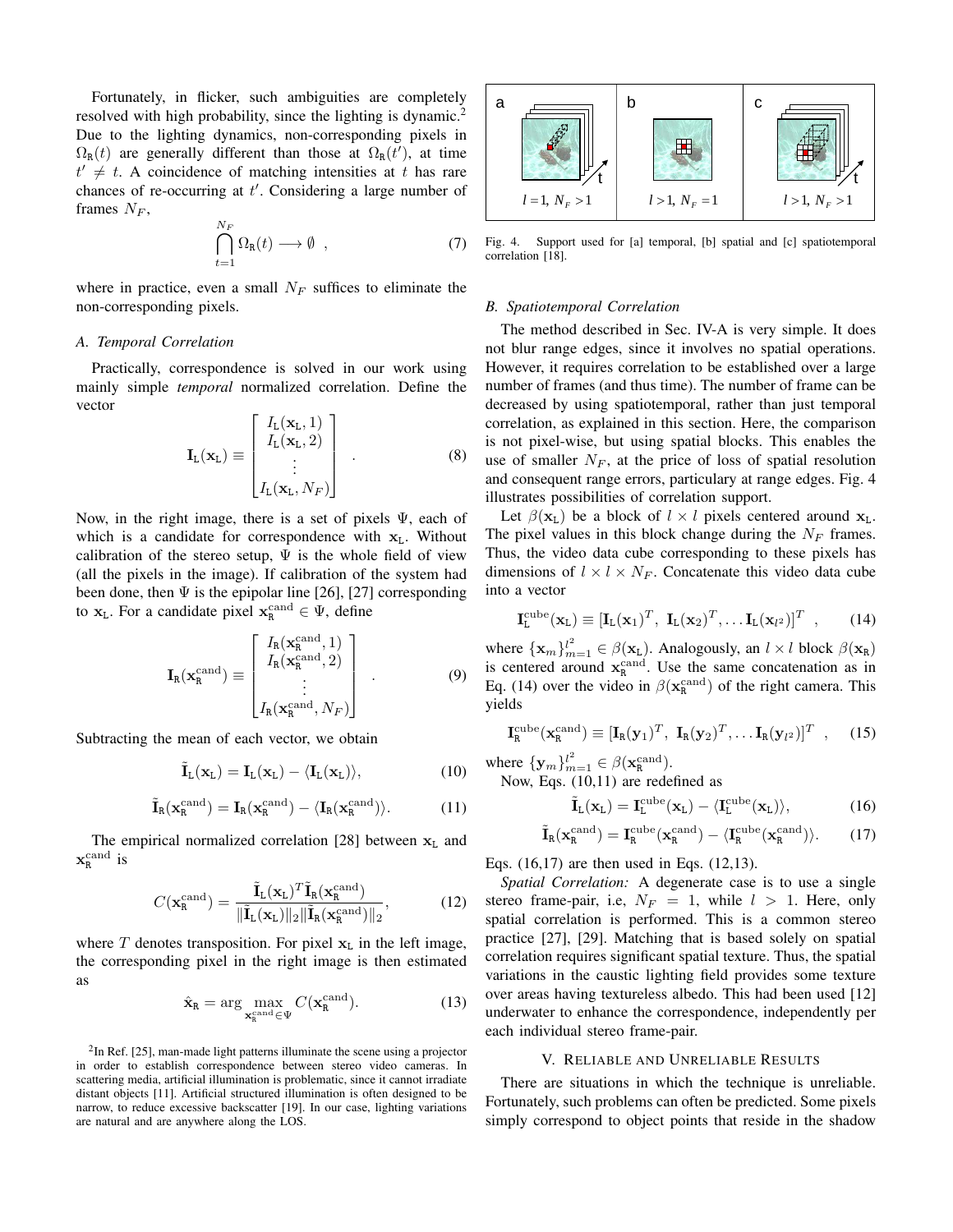Fortunately, in flicker, such ambiguities are completely resolved with high probability, since the lighting is dynamic.<sup>2</sup> Due to the lighting dynamics, non-corresponding pixels in  $\Omega_{\rm R}(t)$  are generally different than those at  $\Omega_{\rm R}(t')$ , at time  $t' \neq t$ . A coincidence of matching intensities at t has rare chances of re-occurring at  $t'$ . Considering a large number of frames  $N_F$ ,

$$
\bigcap_{t=1}^{N_F} \Omega_{\mathbf{R}}(t) \longrightarrow \emptyset , \qquad (7)
$$

where in practice, even a small  $N_F$  suffices to eliminate the non-corresponding pixels.

# *A. Temporal Correlation*

Practically, correspondence is solved in our work using mainly simple *temporal* normalized correlation. Define the vector

$$
\mathbf{I}_{L}(\mathbf{x}_{L}) \equiv \begin{bmatrix} I_{L}(\mathbf{x}_{L}, 1) \\ I_{L}(\mathbf{x}_{L}, 2) \\ \vdots \\ I_{L}(\mathbf{x}_{L}, N_{F}) \end{bmatrix} . \tag{8}
$$

Now, in the right image, there is a set of pixels  $\Psi$ , each of which is a candidate for correspondence with  $x_L$ . Without calibration of the stereo setup,  $\Psi$  is the whole field of view (all the pixels in the image). If calibration of the system had been done, then  $\Psi$  is the epipolar line [26], [27] corresponding to  $x_L$ . For a candidate pixel  $x_R^{\text{cand}} \in \Psi$ , define

$$
\mathbf{I}_{R}(\mathbf{x}_{R}^{\text{cand}}) \equiv \begin{bmatrix} I_{R}(\mathbf{x}_{R}^{\text{cand}}, 1) \\ I_{R}(\mathbf{x}_{R}^{\text{cand}}, 2) \\ \vdots \\ I_{R}(\mathbf{x}_{R}^{\text{cand}}, N_{F}) \end{bmatrix}
$$
(9)

Subtracting the mean of each vector, we obtain

$$
\tilde{\mathbf{I}}_{L}(\mathbf{x}_{L}) = \mathbf{I}_{L}(\mathbf{x}_{L}) - \langle \mathbf{I}_{L}(\mathbf{x}_{L}) \rangle, \qquad (10)
$$

$$
\tilde{\mathbf{I}}_R(\mathbf{x}_R^{\mathrm{cand}}) = \mathbf{I}_R(\mathbf{x}_R^{\mathrm{cand}}) - \langle \mathbf{I}_R(\mathbf{x}_R^{\mathrm{cand}}) \rangle. \hspace{1cm} (11)
$$

The empirical normalized correlation [28] between  $x<sub>L</sub>$  and  $\mathbf{x}_\texttt{R}^\text{cand}$  is

$$
C(\mathbf{x}_{\mathbf{R}}^{\text{cand}}) = \frac{\tilde{\mathbf{I}}_{\text{L}}(\mathbf{x}_{\text{L}})^{T} \tilde{\mathbf{I}}_{\text{R}}(\mathbf{x}_{\mathbf{R}}^{\text{cand}})}{\|\tilde{\mathbf{I}}_{\text{L}}(\mathbf{x}_{\text{L}})\|_{2} \|\tilde{\mathbf{I}}_{\text{R}}(\mathbf{x}_{\mathbf{R}}^{\text{cand}})\|_{2}},\tag{12}
$$

where T denotes transposition. For pixel  $x<sub>L</sub>$  in the left image, the corresponding pixel in the right image is then estimated as

$$
\hat{\mathbf{x}}_{R} = \arg \max_{\mathbf{x}_{R}^{\text{cand}} \in \Psi} C(\mathbf{x}_{R}^{\text{cand}}). \tag{13}
$$

 $2$ In Ref. [25], man-made light patterns illuminate the scene using a projector in order to establish correspondence between stereo video cameras. In scattering media, artificial illumination is problematic, since it cannot irradiate distant objects [11]. Artificial structured illumination is often designed to be narrow, to reduce excessive backscatter [19]. In our case, lighting variations are natural and are anywhere along the LOS.



Fig. 4. Support used for [a] temporal, [b] spatial and [c] spatiotemporal correlation [18].

#### *B. Spatiotemporal Correlation*

The method described in Sec. IV-A is very simple. It does not blur range edges, since it involves no spatial operations. However, it requires correlation to be established over a large number of frames (and thus time). The number of frame can be decreased by using spatiotemporal, rather than just temporal correlation, as explained in this section. Here, the comparison is not pixel-wise, but using spatial blocks. This enables the use of smaller  $N_F$ , at the price of loss of spatial resolution and consequent range errors, particulary at range edges. Fig. 4 illustrates possibilities of correlation support.

Let  $\beta(\mathbf{x}_L)$  be a block of  $l \times l$  pixels centered around  $\mathbf{x}_L$ . The pixel values in this block change during the  $N_F$  frames. Thus, the video data cube corresponding to these pixels has dimensions of  $l \times l \times N_F$ . Concatenate this video data cube into a vector

$$
\mathbf{I}_{\mathbf{L}}^{\text{cube}}(\mathbf{x}_{\mathbf{L}}) \equiv [\mathbf{I}_{\mathbf{L}}(\mathbf{x}_{1})^{T}, \ \mathbf{I}_{\mathbf{L}}(\mathbf{x}_{2})^{T}, \dots \mathbf{I}_{\mathbf{L}}(\mathbf{x}_{l^{2}})]^{T} \ , \qquad (14)
$$

where  ${\mathbf {x}_m}_{m=1}^l \in \beta({\mathbf {x}_L})$ . Analogously, an  $l \times l$  block  $\beta({\mathbf {x}_R})$ is centered around  $\mathbf{x}_R^{\text{cand}}$ . Use the same concatenation as in Eq. (14) over the video in  $\beta(\mathbf{x}_R^{\text{cand}})$  of the right camera. This yields

$$
\mathbf{I}_{R}^{\text{cube}}(\mathbf{x}_{R}^{\text{cand}}) \equiv [\mathbf{I}_{R}(\mathbf{y}_{1})^{T}, \ \mathbf{I}_{R}(\mathbf{y}_{2})^{T}, \dots \mathbf{I}_{R}(\mathbf{y}_{l^{2}})]^{T} \ , \qquad (15)
$$

where  $\{y_m\}_{m=1}^l \in \beta(\mathbf{x}_R^{\text{cand}})$ .

Now, Eqs. (10,11) are redefined as

$$
\tilde{\mathbf{I}}_{L}(\mathbf{x}_{L}) = \mathbf{I}_{L}^{\text{cube}}(\mathbf{x}_{L}) - \langle \mathbf{I}_{L}^{\text{cube}}(\mathbf{x}_{L}) \rangle, \tag{16}
$$

$$
\tilde{\mathbf{I}}_R(\mathbf{x}_R^{\mathrm{cand}}) = \mathbf{I}_R^{\mathrm{cube}}(\mathbf{x}_R^{\mathrm{cand}}) - \langle \mathbf{I}_R^{\mathrm{cube}}(\mathbf{x}_R^{\mathrm{cand}}) \rangle. \tag{17}
$$

Eqs. (16,17) are then used in Eqs. (12,13).

*Spatial Correlation:* A degenerate case is to use a single stereo frame-pair, i.e,  $N_F = 1$ , while  $l > 1$ . Here, only spatial correlation is performed. This is a common stereo practice [27], [29]. Matching that is based solely on spatial correlation requires significant spatial texture. Thus, the spatial variations in the caustic lighting field provides some texture over areas having textureless albedo. This had been used [12] underwater to enhance the correspondence, independently per each individual stereo frame-pair.

## V. RELIABLE AND UNRELIABLE RESULTS

There are situations in which the technique is unreliable. Fortunately, such problems can often be predicted. Some pixels simply correspond to object points that reside in the shadow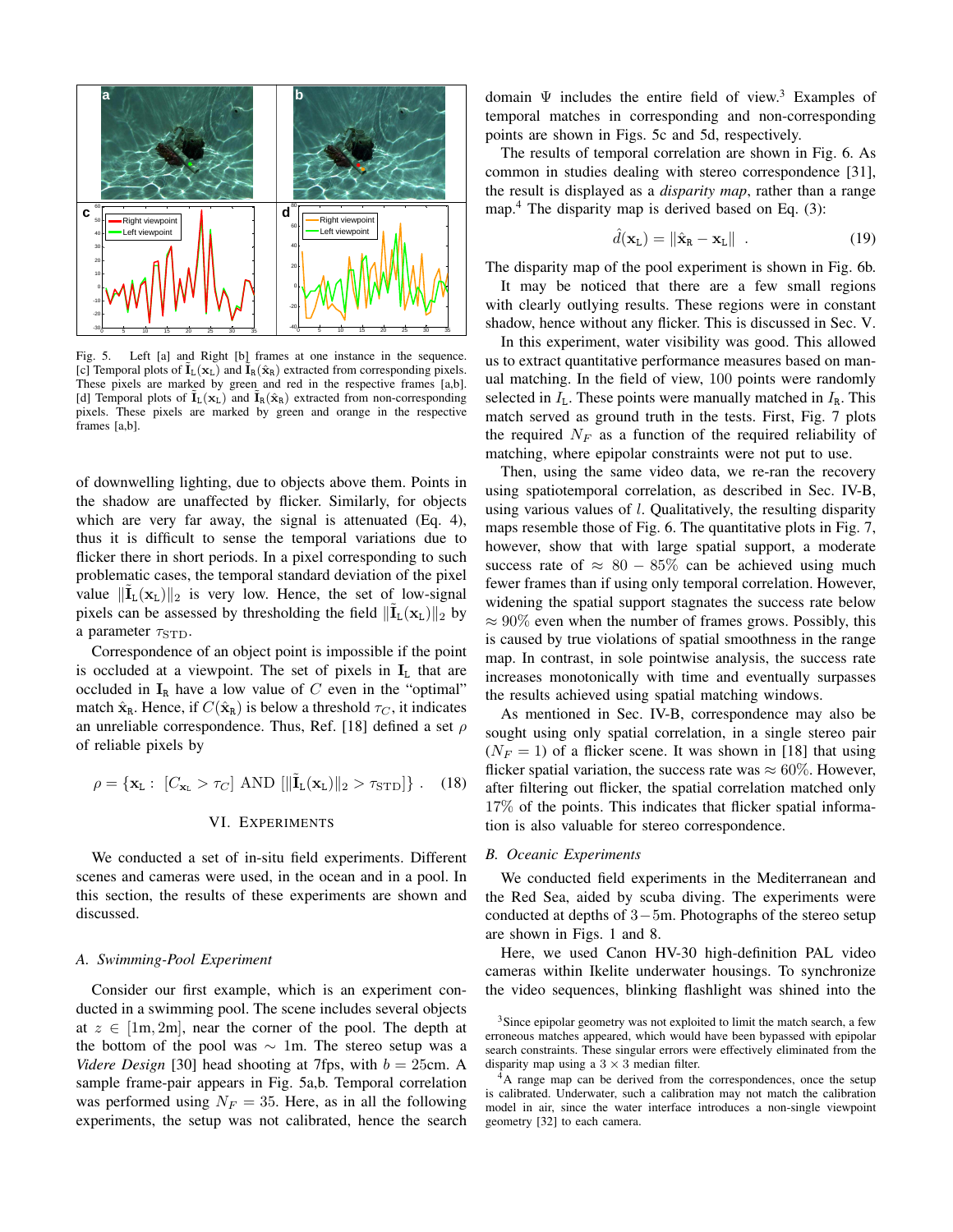

Fig. 5. Left [a] and Right [b] frames at one instance in the sequence. [c] Temporal plots of  $\mathbf{I}_{\mathbf{L}}(\mathbf{x}_{\mathbf{L}})$  and  $\mathbf{I}_{\mathbf{R}}(\hat{\mathbf{x}}_{\mathbf{R}})$  extracted from corresponding pixels. These pixels are marked by green and red in the respective frames [a,b]. [d] Temporal plots of  $I_L(\mathbf{x}_L)$  and  $I_R(\hat{\mathbf{x}}_R)$  extracted from non-corresponding pixels. These pixels are marked by green and orange in the respective frames [a,b].

of downwelling lighting, due to objects above them. Points in the shadow are unaffected by flicker. Similarly, for objects which are very far away, the signal is attenuated (Eq. 4), thus it is difficult to sense the temporal variations due to flicker there in short periods. In a pixel corresponding to such problematic cases, the temporal standard deviation of the pixel value  $\|\tilde{\mathbf{I}}_{L}(\mathbf{x}_{L})\|_{2}$  is very low. Hence, the set of low-signal pixels can be assessed by thresholding the field  $\|\tilde{I}_L(\mathbf{x}_L)\|_2$  by a parameter  $\tau_{\text{STD}}$ .

Correspondence of an object point is impossible if the point is occluded at a viewpoint. The set of pixels in  $I_L$  that are occluded in  $I_R$  have a low value of C even in the "optimal" match  $\hat{\mathbf{x}}_R$ . Hence, if  $C(\hat{\mathbf{x}}_R)$  is below a threshold  $\tau_C$ , it indicates an unreliable correspondence. Thus, Ref. [18] defined a set  $\rho$ of reliable pixels by

$$
\rho = {\mathbf{x}_{\mathrm{L}} : [C_{\mathbf{x}_{\mathrm{L}}} > \tau_C] \text{ AND } [\|\tilde{\mathbf{I}}_{\mathrm{L}}(\mathbf{x}_{\mathrm{L}})\|_2 > \tau_{\mathrm{STD}}] } \}. \quad (18)
$$

# VI. EXPERIMENTS

We conducted a set of in-situ field experiments. Different scenes and cameras were used, in the ocean and in a pool. In this section, the results of these experiments are shown and discussed.

#### *A. Swimming-Pool Experiment*

Consider our first example, which is an experiment conducted in a swimming pool. The scene includes several objects at  $z \in [1m, 2m]$ , near the corner of the pool. The depth at the bottom of the pool was  $\sim 1$ m. The stereo setup was a *Videre Design* [30] head shooting at 7fps, with  $b = 25$ cm. A sample frame-pair appears in Fig. 5a,b. Temporal correlation was performed using  $N_F = 35$ . Here, as in all the following experiments, the setup was not calibrated, hence the search

domain  $\Psi$  includes the entire field of view.<sup>3</sup> Examples of temporal matches in corresponding and non-corresponding points are shown in Figs. 5c and 5d, respectively.

The results of temporal correlation are shown in Fig. 6. As common in studies dealing with stereo correspondence [31], the result is displayed as a *disparity map*, rather than a range map.<sup>4</sup> The disparity map is derived based on Eq.  $(3)$ :

$$
\hat{d}(\mathbf{x}_L) = \|\hat{\mathbf{x}}_R - \mathbf{x}_L\| \quad . \tag{19}
$$

The disparity map of the pool experiment is shown in Fig. 6b.

It may be noticed that there are a few small regions with clearly outlying results. These regions were in constant shadow, hence without any flicker. This is discussed in Sec. V.

In this experiment, water visibility was good. This allowed us to extract quantitative performance measures based on manual matching. In the field of view, 100 points were randomly selected in  $I_L$ . These points were manually matched in  $I_R$ . This match served as ground truth in the tests. First, Fig. 7 plots the required  $N_F$  as a function of the required reliability of matching, where epipolar constraints were not put to use.

Then, using the same video data, we re-ran the recovery using spatiotemporal correlation, as described in Sec. IV-B, using various values of l. Qualitatively, the resulting disparity maps resemble those of Fig. 6. The quantitative plots in Fig. 7, however, show that with large spatial support, a moderate success rate of  $\approx 80 - 85\%$  can be achieved using much fewer frames than if using only temporal correlation. However, widening the spatial support stagnates the success rate below  $\approx 90\%$  even when the number of frames grows. Possibly, this is caused by true violations of spatial smoothness in the range map. In contrast, in sole pointwise analysis, the success rate increases monotonically with time and eventually surpasses the results achieved using spatial matching windows.

As mentioned in Sec. IV-B, correspondence may also be sought using only spatial correlation, in a single stereo pair  $(N_F = 1)$  of a flicker scene. It was shown in [18] that using flicker spatial variation, the success rate was  $\approx 60\%$ . However, after filtering out flicker, the spatial correlation matched only 17% of the points. This indicates that flicker spatial information is also valuable for stereo correspondence.

# *B. Oceanic Experiments*

We conducted field experiments in the Mediterranean and the Red Sea, aided by scuba diving. The experiments were conducted at depths of 3−5m. Photographs of the stereo setup are shown in Figs. 1 and 8.

Here, we used Canon HV-30 high-definition PAL video cameras within Ikelite underwater housings. To synchronize the video sequences, blinking flashlight was shined into the

<sup>&</sup>lt;sup>3</sup>Since epipolar geometry was not exploited to limit the match search, a few erroneous matches appeared, which would have been bypassed with epipolar search constraints. These singular errors were effectively eliminated from the disparity map using a  $3 \times 3$  median filter.

<sup>&</sup>lt;sup>4</sup>A range map can be derived from the correspondences, once the setup is calibrated. Underwater, such a calibration may not match the calibration model in air, since the water interface introduces a non-single viewpoint geometry [32] to each camera.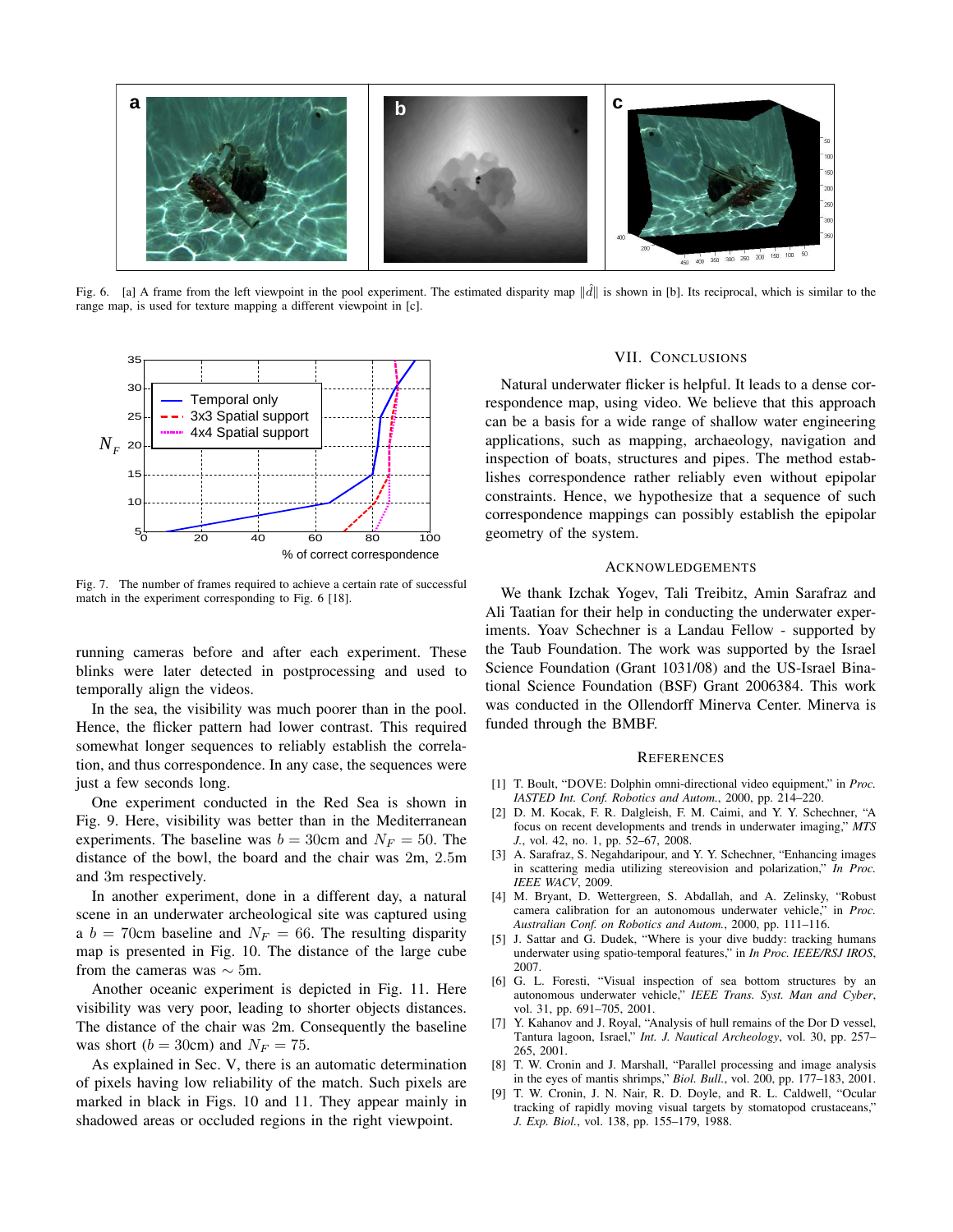

Fig. 6. [a] A frame from the left viewpoint in the pool experiment. The estimated disparity map  $\|\hat{d}\|$  is shown in [b]. Its reciprocal, which is similar to the range map, is used for texture mapping a different viewpoint in [c].



Fig. 7. The number of frames required to achieve a certain rate of successful match in the experiment corresponding to Fig. 6 [18].

running cameras before and after each experiment. These blinks were later detected in postprocessing and used to temporally align the videos.

In the sea, the visibility was much poorer than in the pool. Hence, the flicker pattern had lower contrast. This required somewhat longer sequences to reliably establish the correlation, and thus correspondence. In any case, the sequences were just a few seconds long.

One experiment conducted in the Red Sea is shown in Fig. 9. Here, visibility was better than in the Mediterranean experiments. The baseline was  $b = 30$ cm and  $N_F = 50$ . The distance of the bowl, the board and the chair was 2m, 2.5m and 3m respectively.

In another experiment, done in a different day, a natural scene in an underwater archeological site was captured using a  $b = 70$ cm baseline and  $N_F = 66$ . The resulting disparity map is presented in Fig. 10. The distance of the large cube from the cameras was  $\sim$  5m.

Another oceanic experiment is depicted in Fig. 11. Here visibility was very poor, leading to shorter objects distances. The distance of the chair was 2m. Consequently the baseline was short ( $b = 30$ cm) and  $N_F = 75$ .

As explained in Sec. V, there is an automatic determination of pixels having low reliability of the match. Such pixels are marked in black in Figs. 10 and 11. They appear mainly in shadowed areas or occluded regions in the right viewpoint.

# VII. CONCLUSIONS

Natural underwater flicker is helpful. It leads to a dense correspondence map, using video. We believe that this approach can be a basis for a wide range of shallow water engineering applications, such as mapping, archaeology, navigation and inspection of boats, structures and pipes. The method establishes correspondence rather reliably even without epipolar constraints. Hence, we hypothesize that a sequence of such correspondence mappings can possibly establish the epipolar geometry of the system.

#### ACKNOWLEDGEMENTS

We thank Izchak Yogev, Tali Treibitz, Amin Sarafraz and Ali Taatian for their help in conducting the underwater experiments. Yoav Schechner is a Landau Fellow - supported by the Taub Foundation. The work was supported by the Israel Science Foundation (Grant 1031/08) and the US-Israel Binational Science Foundation (BSF) Grant 2006384. This work was conducted in the Ollendorff Minerva Center. Minerva is funded through the BMBF.

#### **REFERENCES**

- [1] T. Boult, "DOVE: Dolphin omni-directional video equipment," in *Proc. IASTED Int. Conf. Robotics and Autom.*, 2000, pp. 214–220.
- [2] D. M. Kocak, F. R. Dalgleish, F. M. Caimi, and Y. Y. Schechner, "A focus on recent developments and trends in underwater imaging," *MTS J.*, vol. 42, no. 1, pp. 52–67, 2008.
- [3] A. Sarafraz, S. Negahdaripour, and Y. Y. Schechner, "Enhancing images in scattering media utilizing stereovision and polarization," *In Proc. IEEE WACV*, 2009.
- [4] M. Bryant, D. Wettergreen, S. Abdallah, and A. Zelinsky, "Robust camera calibration for an autonomous underwater vehicle," in *Proc. Australian Conf. on Robotics and Autom.*, 2000, pp. 111–116.
- [5] J. Sattar and G. Dudek, "Where is your dive buddy: tracking humans underwater using spatio-temporal features," in *In Proc. IEEE/RSJ IROS*, 2007.
- [6] G. L. Foresti, "Visual inspection of sea bottom structures by an autonomous underwater vehicle," *IEEE Trans. Syst. Man and Cyber*, vol. 31, pp. 691–705, 2001.
- [7] Y. Kahanov and J. Royal, "Analysis of hull remains of the Dor D vessel, Tantura lagoon, Israel," *Int. J. Nautical Archeology*, vol. 30, pp. 257– 265, 2001.
- [8] T. W. Cronin and J. Marshall, "Parallel processing and image analysis in the eyes of mantis shrimps," *Biol. Bull.*, vol. 200, pp. 177–183, 2001.
- [9] T. W. Cronin, J. N. Nair, R. D. Doyle, and R. L. Caldwell, "Ocular tracking of rapidly moving visual targets by stomatopod crustaceans," *J. Exp. Biol.*, vol. 138, pp. 155–179, 1988.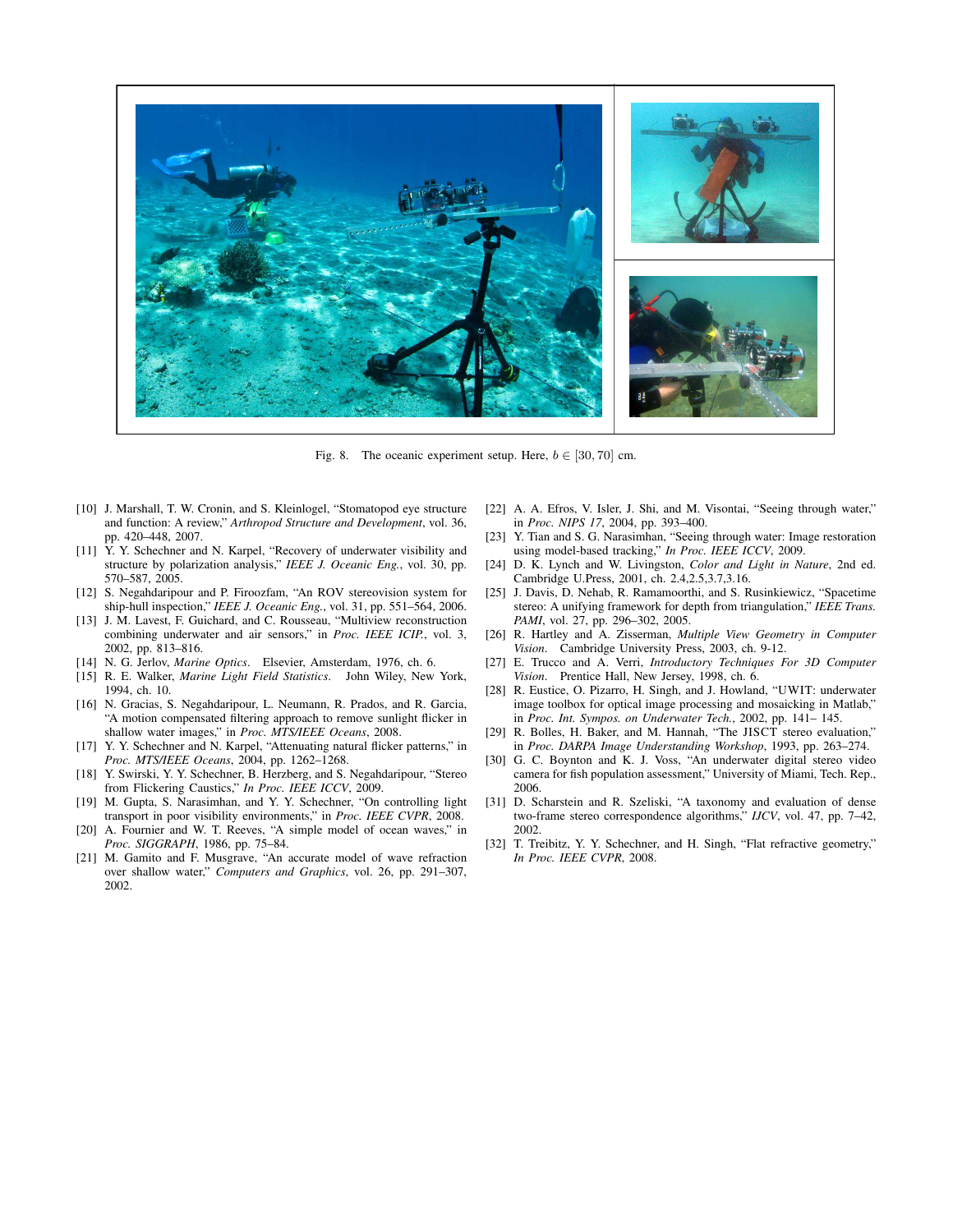

Fig. 8. The oceanic experiment setup. Here,  $b \in [30, 70]$  cm.

- [10] J. Marshall, T. W. Cronin, and S. Kleinlogel, "Stomatopod eye structure and function: A review," *Arthropod Structure and Development*, vol. 36, pp. 420–448, 2007.
- [11]  $\overrightarrow{Y}$ . Y. Schechner and N. Karpel, "Recovery of underwater visibility and structure by polarization analysis," *IEEE J. Oceanic Eng.*, vol. 30, pp. 570–587, 2005.
- [12] S. Negahdaripour and P. Firoozfam, "An ROV stereovision system for ship-hull inspection," *IEEE J. Oceanic Eng.*, vol. 31, pp. 551–564, 2006.
- [13] J. M. Lavest, F. Guichard, and C. Rousseau, "Multiview reconstruction combining underwater and air sensors," in *Proc. IEEE ICIP.*, vol. 3, 2002, pp. 813–816.
- [14] N. G. Jerlov, *Marine Optics*. Elsevier, Amsterdam, 1976, ch. 6.
- [15] R. E. Walker, *Marine Light Field Statistics*. John Wiley, New York, 1994, ch. 10.
- [16] N. Gracias, S. Negahdaripour, L. Neumann, R. Prados, and R. Garcia, "A motion compensated filtering approach to remove sunlight flicker in shallow water images," in *Proc. MTS/IEEE Oceans*, 2008.
- [17] Y. Y. Schechner and N. Karpel, "Attenuating natural flicker patterns," in *Proc. MTS/IEEE Oceans*, 2004, pp. 1262–1268.
- [18] Y. Swirski, Y. Y. Schechner, B. Herzberg, and S. Negahdaripour, "Stereo from Flickering Caustics," *In Proc. IEEE ICCV*, 2009.
- [19] M. Gupta, S. Narasimhan, and Y. Y. Schechner, "On controlling light transport in poor visibility environments," in *Proc. IEEE CVPR*, 2008.
- [20] A. Fournier and W. T. Reeves, "A simple model of ocean waves," in *Proc. SIGGRAPH*, 1986, pp. 75–84.
- [21] M. Gamito and F. Musgrave, "An accurate model of wave refraction over shallow water," *Computers and Graphics*, vol. 26, pp. 291–307, 2002.
- [22] A. A. Efros, V. Isler, J. Shi, and M. Visontai, "Seeing through water," in *Proc. NIPS 17*, 2004, pp. 393–400.
- [23] Y. Tian and S. G. Narasimhan, "Seeing through water: Image restoration using model-based tracking," *In Proc. IEEE ICCV*, 2009.
- [24] D. K. Lynch and W. Livingston, *Color and Light in Nature*, 2nd ed. Cambridge U.Press, 2001, ch. 2.4,2.5,3.7,3.16.
- [25] J. Davis, D. Nehab, R. Ramamoorthi, and S. Rusinkiewicz, "Spacetime stereo: A unifying framework for depth from triangulation," *IEEE Trans. PAMI*, vol. 27, pp. 296-302, 2005.
- [26] R. Hartley and A. Zisserman, *Multiple View Geometry in Computer Vision*. Cambridge University Press, 2003, ch. 9-12.
- [27] E. Trucco and A. Verri, *Introductory Techniques For 3D Computer Vision*. Prentice Hall, New Jersey, 1998, ch. 6.
- [28] R. Eustice, O. Pizarro, H. Singh, and J. Howland, "UWIT: underwater image toolbox for optical image processing and mosaicking in Matlab," in *Proc. Int. Sympos. on Underwater Tech.*, 2002, pp. 141– 145.
- [29] R. Bolles, H. Baker, and M. Hannah, "The JISCT stereo evaluation," in *Proc. DARPA Image Understanding Workshop*, 1993, pp. 263–274.
- [30] G. C. Boynton and K. J. Voss, "An underwater digital stereo video camera for fish population assessment," University of Miami, Tech. Rep., 2006.
- [31] D. Scharstein and R. Szeliski, "A taxonomy and evaluation of dense two-frame stereo correspondence algorithms," *IJCV*, vol. 47, pp. 7–42, 2002.
- [32] T. Treibitz, Y. Y. Schechner, and H. Singh, "Flat refractive geometry," *In Proc. IEEE CVPR*, 2008.